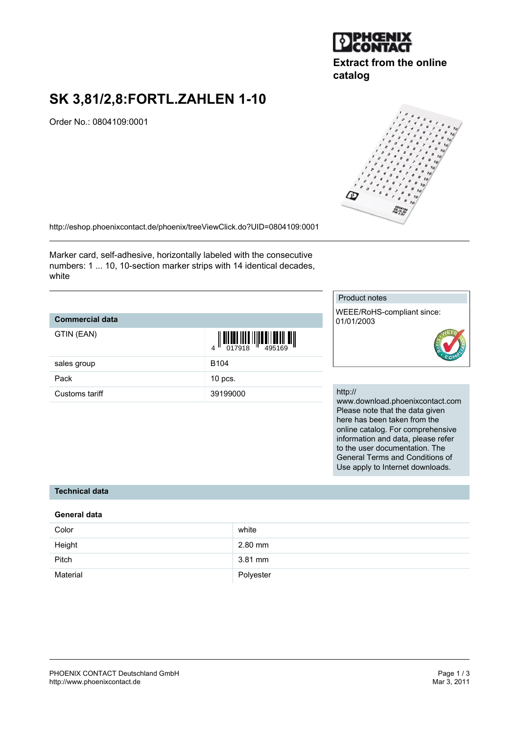

# **Extract from the online catalog**

# **SK 3,81/2,8:FORTL.ZAHLEN 1-10**

Order No.: 0804109:0001



Marker card, self-adhesive, horizontally labeled with the consecutive numbers: 1 ... 10, 10-section marker strips with 14 identical decades, white

# **Commercial data**

| GTIN (EAN)     | 01<br>4          |
|----------------|------------------|
| sales group    | B <sub>104</sub> |
| Pack           | $10$ pcs.        |
| Customs tariff | 391990           |

| $\left\{ \left\  \right. \right\  \left\  \left[ \left. \right] \right\  \left\  \left[ \left. \right] \right\  \left\  \left[ \left. \right] \right\  \left\  \left[ \left. \right] \right\  \left\  \left[ \left. \right] \right\  \left\  \left[ \left. \right] \right\  \right  \right\  \right\  \right\}$<br>$\mathbf{A}$ II |
|------------------------------------------------------------------------------------------------------------------------------------------------------------------------------------------------------------------------------------------------------------------------------------------------------------------------------------|
| B104                                                                                                                                                                                                                                                                                                                               |
| $10$ pcs.                                                                                                                                                                                                                                                                                                                          |
| 39199000                                                                                                                                                                                                                                                                                                                           |



WEEE/RoHS-compliant since: 01/01/2003



#### http://

www.download.phoenixcontact.com Please note that the data given here has been taken from the online catalog. For comprehensive information and data, please refer to the user documentation. The General Terms and Conditions of Use apply to Internet downloads.

## **Technical data**

### **General data**

| Color    | white     |
|----------|-----------|
| Height   | $2.80$ mm |
| Pitch    | 3.81 mm   |
| Material | Polyester |

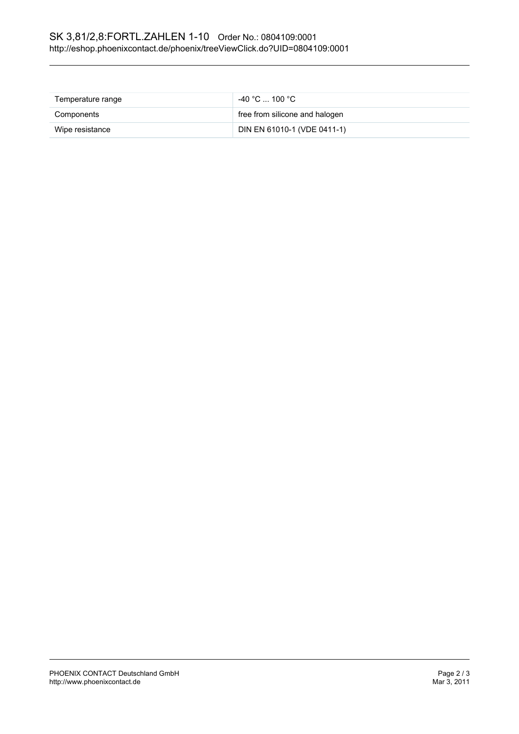| Temperature range | $-40\degree$ C  100 $\degree$ C . |
|-------------------|-----------------------------------|
| Components        | free from silicone and halogen    |
| Wipe resistance   | DIN EN 61010-1 (VDE 0411-1)       |